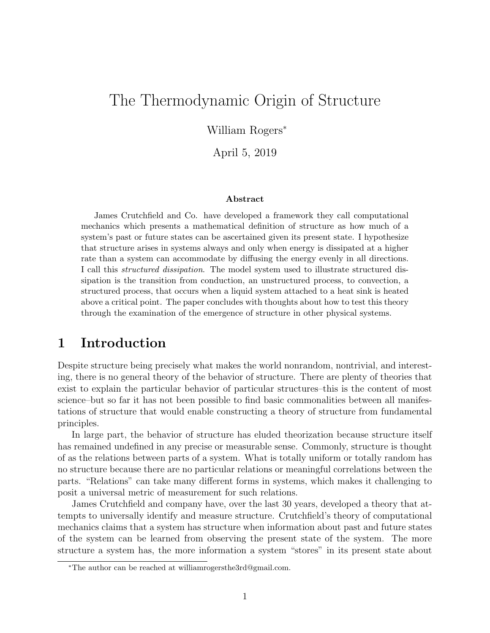# The Thermodynamic Origin of Structure

William Rogers<sup>∗</sup>

April 5, 2019

#### Abstract

James Crutchfield and Co. have developed a framework they call computational mechanics which presents a mathematical definition of structure as how much of a system's past or future states can be ascertained given its present state. I hypothesize that structure arises in systems always and only when energy is dissipated at a higher rate than a system can accommodate by diffusing the energy evenly in all directions. I call this structured dissipation. The model system used to illustrate structured dissipation is the transition from conduction, an unstructured process, to convection, a structured process, that occurs when a liquid system attached to a heat sink is heated above a critical point. The paper concludes with thoughts about how to test this theory through the examination of the emergence of structure in other physical systems.

## 1 Introduction

Despite structure being precisely what makes the world nonrandom, nontrivial, and interesting, there is no general theory of the behavior of structure. There are plenty of theories that exist to explain the particular behavior of particular structures–this is the content of most science–but so far it has not been possible to find basic commonalities between all manifestations of structure that would enable constructing a theory of structure from fundamental principles.

In large part, the behavior of structure has eluded theorization because structure itself has remained undefined in any precise or measurable sense. Commonly, structure is thought of as the relations between parts of a system. What is totally uniform or totally random has no structure because there are no particular relations or meaningful correlations between the parts. "Relations" can take many different forms in systems, which makes it challenging to posit a universal metric of measurement for such relations.

James Crutchfield and company have, over the last 30 years, developed a theory that attempts to universally identify and measure structure. Crutchfield's theory of computational mechanics claims that a system has structure when information about past and future states of the system can be learned from observing the present state of the system. The more structure a system has, the more information a system "stores" in its present state about

<sup>∗</sup>The author can be reached at williamrogersthe3rd@gmail.com.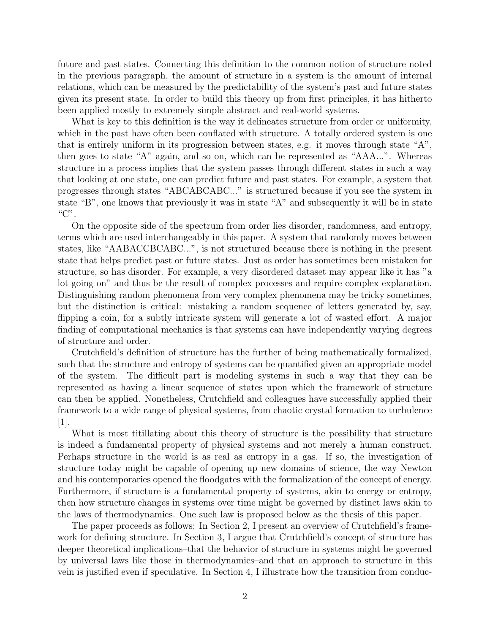future and past states. Connecting this definition to the common notion of structure noted in the previous paragraph, the amount of structure in a system is the amount of internal relations, which can be measured by the predictability of the system's past and future states given its present state. In order to build this theory up from first principles, it has hitherto been applied mostly to extremely simple abstract and real-world systems.

What is key to this definition is the way it delineates structure from order or uniformity, which in the past have often been conflated with structure. A totally ordered system is one that is entirely uniform in its progression between states, e.g. it moves through state "A", then goes to state "A" again, and so on, which can be represented as "AAA...". Whereas structure in a process implies that the system passes through different states in such a way that looking at one state, one can predict future and past states. For example, a system that progresses through states "ABCABCABC..." is structured because if you see the system in state "B", one knows that previously it was in state "A" and subsequently it will be in state " $C$ ".

On the opposite side of the spectrum from order lies disorder, randomness, and entropy, terms which are used interchangeably in this paper. A system that randomly moves between states, like "AABACCBCABC...", is not structured because there is nothing in the present state that helps predict past or future states. Just as order has sometimes been mistaken for structure, so has disorder. For example, a very disordered dataset may appear like it has "a lot going on" and thus be the result of complex processes and require complex explanation. Distinguishing random phenomena from very complex phenomena may be tricky sometimes, but the distinction is critical: mistaking a random sequence of letters generated by, say, flipping a coin, for a subtly intricate system will generate a lot of wasted effort. A major finding of computational mechanics is that systems can have independently varying degrees of structure and order.

Crutchfield's definition of structure has the further of being mathematically formalized, such that the structure and entropy of systems can be quantified given an appropriate model of the system. The difficult part is modeling systems in such a way that they can be represented as having a linear sequence of states upon which the framework of structure can then be applied. Nonetheless, Crutchfield and colleagues have successfully applied their framework to a wide range of physical systems, from chaotic crystal formation to turbulence  $|1|$ .

What is most titillating about this theory of structure is the possibility that structure is indeed a fundamental property of physical systems and not merely a human construct. Perhaps structure in the world is as real as entropy in a gas. If so, the investigation of structure today might be capable of opening up new domains of science, the way Newton and his contemporaries opened the floodgates with the formalization of the concept of energy. Furthermore, if structure is a fundamental property of systems, akin to energy or entropy, then how structure changes in systems over time might be governed by distinct laws akin to the laws of thermodynamics. One such law is proposed below as the thesis of this paper.

The paper proceeds as follows: In Section 2, I present an overview of Crutchfield's framework for defining structure. In Section 3, I argue that Crutchfield's concept of structure has deeper theoretical implications–that the behavior of structure in systems might be governed by universal laws like those in thermodynamics–and that an approach to structure in this vein is justified even if speculative. In Section 4, I illustrate how the transition from conduc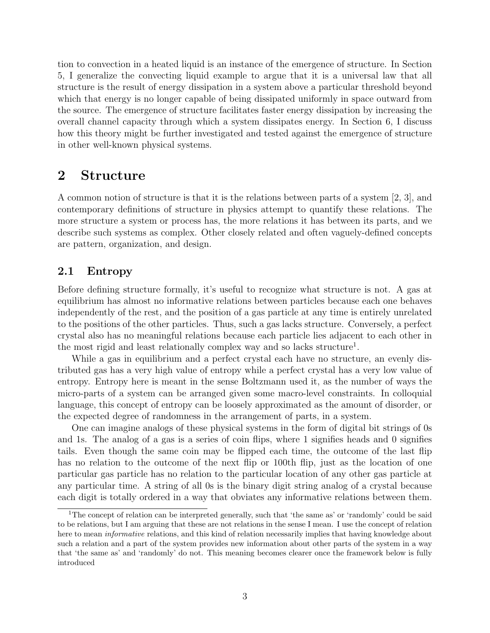tion to convection in a heated liquid is an instance of the emergence of structure. In Section 5, I generalize the convecting liquid example to argue that it is a universal law that all structure is the result of energy dissipation in a system above a particular threshold beyond which that energy is no longer capable of being dissipated uniformly in space outward from the source. The emergence of structure facilitates faster energy dissipation by increasing the overall channel capacity through which a system dissipates energy. In Section 6, I discuss how this theory might be further investigated and tested against the emergence of structure in other well-known physical systems.

## 2 Structure

A common notion of structure is that it is the relations between parts of a system [2, 3], and contemporary definitions of structure in physics attempt to quantify these relations. The more structure a system or process has, the more relations it has between its parts, and we describe such systems as complex. Other closely related and often vaguely-defined concepts are pattern, organization, and design.

### 2.1 Entropy

Before defining structure formally, it's useful to recognize what structure is not. A gas at equilibrium has almost no informative relations between particles because each one behaves independently of the rest, and the position of a gas particle at any time is entirely unrelated to the positions of the other particles. Thus, such a gas lacks structure. Conversely, a perfect crystal also has no meaningful relations because each particle lies adjacent to each other in the most rigid and least relationally complex way and so lacks structure<sup>1</sup>.

While a gas in equilibrium and a perfect crystal each have no structure, an evenly distributed gas has a very high value of entropy while a perfect crystal has a very low value of entropy. Entropy here is meant in the sense Boltzmann used it, as the number of ways the micro-parts of a system can be arranged given some macro-level constraints. In colloquial language, this concept of entropy can be loosely approximated as the amount of disorder, or the expected degree of randomness in the arrangement of parts, in a system.

One can imagine analogs of these physical systems in the form of digital bit strings of 0s and 1s. The analog of a gas is a series of coin flips, where 1 signifies heads and 0 signifies tails. Even though the same coin may be flipped each time, the outcome of the last flip has no relation to the outcome of the next flip or 100th flip, just as the location of one particular gas particle has no relation to the particular location of any other gas particle at any particular time. A string of all 0s is the binary digit string analog of a crystal because each digit is totally ordered in a way that obviates any informative relations between them.

<sup>&</sup>lt;sup>1</sup>The concept of relation can be interpreted generally, such that 'the same as' or 'randomly' could be said to be relations, but I am arguing that these are not relations in the sense I mean. I use the concept of relation here to mean *informative* relations, and this kind of relation necessarily implies that having knowledge about such a relation and a part of the system provides new information about other parts of the system in a way that 'the same as' and 'randomly' do not. This meaning becomes clearer once the framework below is fully introduced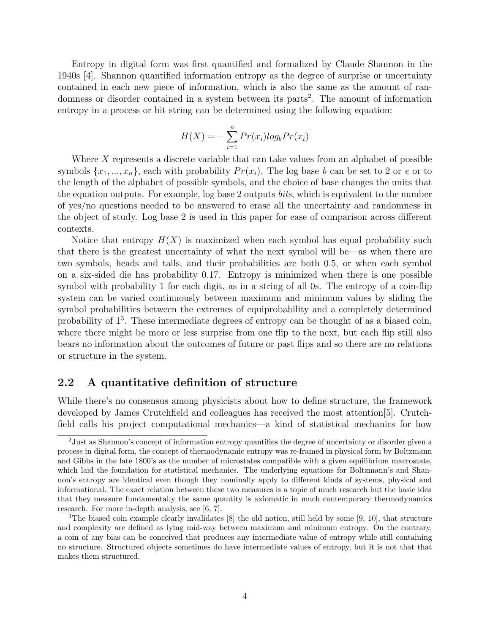Entropy in digital form was first quantified and formalized by Claude Shannon in the 1940s [4]. Shannon quantified information entropy as the degree of surprise or uncertainty contained in each new piece of information, which is also the same as the amount of randomness or disorder contained in a system between its parts<sup>2</sup>. The amount of information entropy in a process or bit string can be determined using the following equation:

$$
H(X) = -\sum_{i=1}^{n} Pr(x_i) log_b Pr(x_i)
$$

Where X represents a discrete variable that can take values from an alphabet of possible symbols  $\{x_1, ..., x_n\}$ , each with probability  $Pr(x_i)$ . The log base b can be set to 2 or e or to the length of the alphabet of possible symbols, and the choice of base changes the units that the equation outputs. For example, log base 2 outputs bits, which is equivalent to the number of yes/no questions needed to be answered to erase all the uncertainty and randomness in the object of study. Log base 2 is used in this paper for ease of comparison across different contexts.

Notice that entropy  $H(X)$  is maximized when each symbol has equal probability such that there is the greatest uncertainty of what the next symbol will be—as when there are two symbols, heads and tails, and their probabilities are both 0.5, or when each symbol on a six-sided die has probability 0.17. Entropy is minimized when there is one possible symbol with probability 1 for each digit, as in a string of all 0s. The entropy of a coin-flip system can be varied continuously between maximum and minimum values by sliding the symbol probabilities between the extremes of equiprobability and a completely determined probability of  $1^3$ . These intermediate degrees of entropy can be thought of as a biased coin, where there might be more or less surprise from one flip to the next, but each flip still also bears no information about the outcomes of future or past flips and so there are no relations or structure in the system.

### 2.2 A quantitative definition of structure

While there's no consensus among physicists about how to define structure, the framework developed by James Crutchfield and colleagues has received the most attention[5]. Crutchfield calls his project computational mechanics—a kind of statistical mechanics for how

<sup>2</sup>Just as Shannon's concept of information entropy quantifies the degree of uncertainty or disorder given a process in digital form, the concept of thermodynamic entropy was re-framed in physical form by Boltzmann and Gibbs in the late 1800's as the number of microstates compatible with a given equilibrium macrostate, which laid the foundation for statistical mechanics. The underlying equations for Boltzmann's and Shannon's entropy are identical even though they nominally apply to different kinds of systems, physical and informational. The exact relation between these two measures is a topic of much research but the basic idea that they measure fundamentally the same quantity is axiomatic in much contemporary thermodynamics research. For more in-depth analysis, see [6, 7].

<sup>&</sup>lt;sup>3</sup>The biased coin example clearly invalidates  $[8]$  the old notion, still held by some  $[9, 10]$ , that structure and complexity are defined as lying mid-way between maximum and minimum entropy. On the contrary, a coin of any bias can be conceived that produces any intermediate value of entropy while still containing no structure. Structured objects sometimes do have intermediate values of entropy, but it is not that that makes them structured.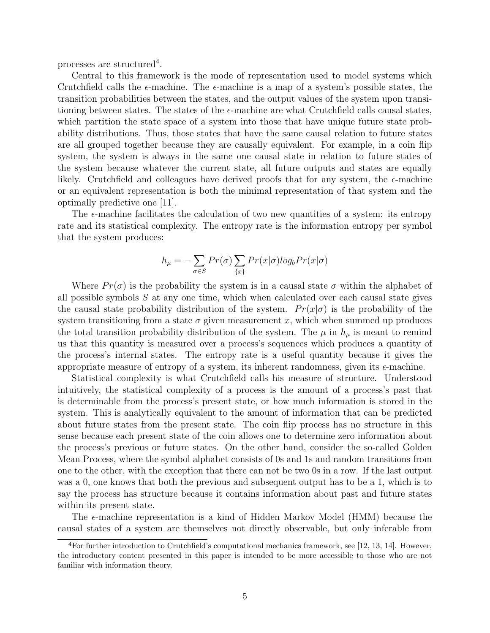processes are structured<sup>4</sup>.

Central to this framework is the mode of representation used to model systems which Crutchfield calls the  $\epsilon$ -machine. The  $\epsilon$ -machine is a map of a system's possible states, the transition probabilities between the states, and the output values of the system upon transitioning between states. The states of the  $\epsilon$ -machine are what Crutchfield calls causal states, which partition the state space of a system into those that have unique future state probability distributions. Thus, those states that have the same causal relation to future states are all grouped together because they are causally equivalent. For example, in a coin flip system, the system is always in the same one causal state in relation to future states of the system because whatever the current state, all future outputs and states are equally likely. Crutchfield and colleagues have derived proofs that for any system, the  $\epsilon$ -machine or an equivalent representation is both the minimal representation of that system and the optimally predictive one [11].

The  $\epsilon$ -machine facilitates the calculation of two new quantities of a system: its entropy rate and its statistical complexity. The entropy rate is the information entropy per symbol that the system produces:

$$
h_{\mu} = -\sum_{\sigma \in S} Pr(\sigma) \sum_{\{x\}} Pr(x|\sigma) log_b Pr(x|\sigma)
$$

Where  $Pr(\sigma)$  is the probability the system is in a causal state  $\sigma$  within the alphabet of all possible symbols  $S$  at any one time, which when calculated over each causal state gives the causal state probability distribution of the system.  $Pr(x|\sigma)$  is the probability of the system transitioning from a state  $\sigma$  given measurement x, which when summed up produces the total transition probability distribution of the system. The  $\mu$  in  $h_{\mu}$  is meant to remind us that this quantity is measured over a process's sequences which produces a quantity of the process's internal states. The entropy rate is a useful quantity because it gives the appropriate measure of entropy of a system, its inherent randomness, given its  $\epsilon$ -machine.

Statistical complexity is what Crutchfield calls his measure of structure. Understood intuitively, the statistical complexity of a process is the amount of a process's past that is determinable from the process's present state, or how much information is stored in the system. This is analytically equivalent to the amount of information that can be predicted about future states from the present state. The coin flip process has no structure in this sense because each present state of the coin allows one to determine zero information about the process's previous or future states. On the other hand, consider the so-called Golden Mean Process, where the symbol alphabet consists of 0s and 1s and random transitions from one to the other, with the exception that there can not be two 0s in a row. If the last output was a 0, one knows that both the previous and subsequent output has to be a 1, which is to say the process has structure because it contains information about past and future states within its present state.

The  $\epsilon$ -machine representation is a kind of Hidden Markov Model (HMM) because the causal states of a system are themselves not directly observable, but only inferable from

 $4$ For further introduction to Crutchfield's computational mechanics framework, see [12, 13, 14]. However, the introductory content presented in this paper is intended to be more accessible to those who are not familiar with information theory.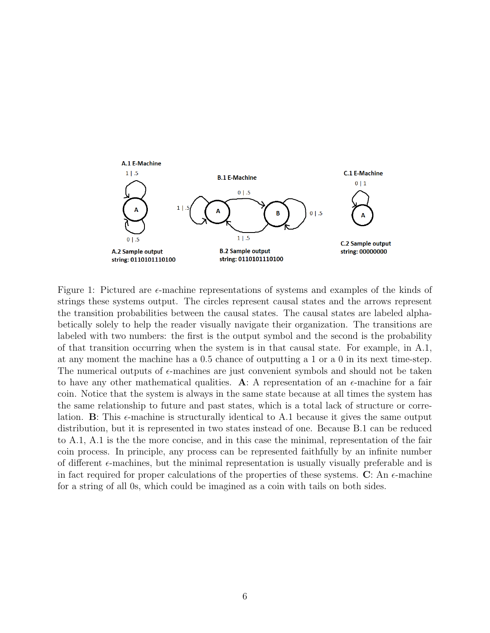

Figure 1: Pictured are  $\epsilon$ -machine representations of systems and examples of the kinds of strings these systems output. The circles represent causal states and the arrows represent the transition probabilities between the causal states. The causal states are labeled alphabetically solely to help the reader visually navigate their organization. The transitions are labeled with two numbers: the first is the output symbol and the second is the probability of that transition occurring when the system is in that causal state. For example, in A.1, at any moment the machine has a 0.5 chance of outputting a 1 or a 0 in its next time-step. The numerical outputs of  $\epsilon$ -machines are just convenient symbols and should not be taken to have any other mathematical qualities. A: A representation of an  $\epsilon$ -machine for a fair coin. Notice that the system is always in the same state because at all times the system has the same relationship to future and past states, which is a total lack of structure or correlation. **B**: This  $\epsilon$ -machine is structurally identical to A.1 because it gives the same output distribution, but it is represented in two states instead of one. Because B.1 can be reduced to A.1, A.1 is the the more concise, and in this case the minimal, representation of the fair coin process. In principle, any process can be represented faithfully by an infinite number of different  $\epsilon$ -machines, but the minimal representation is usually visually preferable and is in fact required for proper calculations of the properties of these systems. C: An  $\epsilon$ -machine for a string of all 0s, which could be imagined as a coin with tails on both sides.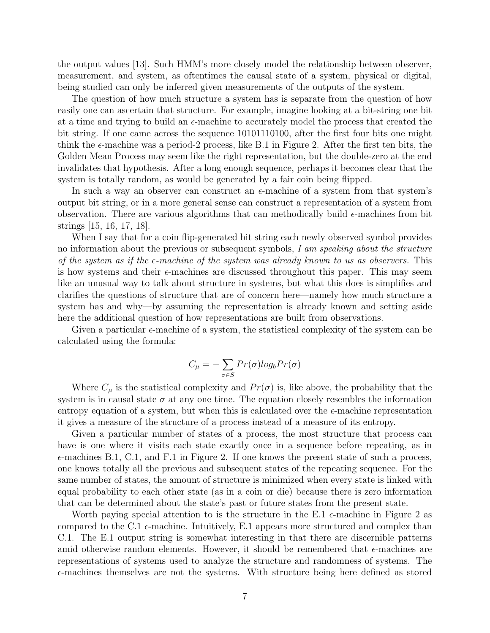the output values [13]. Such HMM's more closely model the relationship between observer, measurement, and system, as oftentimes the causal state of a system, physical or digital, being studied can only be inferred given measurements of the outputs of the system.

The question of how much structure a system has is separate from the question of how easily one can ascertain that structure. For example, imagine looking at a bit-string one bit at a time and trying to build an  $\epsilon$ -machine to accurately model the process that created the bit string. If one came across the sequence 10101110100, after the first four bits one might think the  $\epsilon$ -machine was a period-2 process, like B.1 in Figure 2. After the first ten bits, the Golden Mean Process may seem like the right representation, but the double-zero at the end invalidates that hypothesis. After a long enough sequence, perhaps it becomes clear that the system is totally random, as would be generated by a fair coin being flipped.

In such a way an observer can construct an  $\epsilon$ -machine of a system from that system's output bit string, or in a more general sense can construct a representation of a system from observation. There are various algorithms that can methodically build  $\epsilon$ -machines from bit strings [15, 16, 17, 18].

When I say that for a coin flip-generated bit string each newly observed symbol provides no information about the previous or subsequent symbols, I am speaking about the structure of the system as if the  $\epsilon$ -machine of the system was already known to us as observers. This is how systems and their  $\epsilon$ -machines are discussed throughout this paper. This may seem like an unusual way to talk about structure in systems, but what this does is simplifies and clarifies the questions of structure that are of concern here—namely how much structure a system has and why—by assuming the representation is already known and setting aside here the additional question of how representations are built from observations.

Given a particular  $\epsilon$ -machine of a system, the statistical complexity of the system can be calculated using the formula:

$$
C_{\mu} = -\sum_{\sigma \in S} Pr(\sigma) log_{b} Pr(\sigma)
$$

Where  $C_{\mu}$  is the statistical complexity and  $Pr(\sigma)$  is, like above, the probability that the system is in causal state  $\sigma$  at any one time. The equation closely resembles the information entropy equation of a system, but when this is calculated over the  $\epsilon$ -machine representation it gives a measure of the structure of a process instead of a measure of its entropy.

Given a particular number of states of a process, the most structure that process can have is one where it visits each state exactly once in a sequence before repeating, as in  $\epsilon$ -machines B.1, C.1, and F.1 in Figure 2. If one knows the present state of such a process, one knows totally all the previous and subsequent states of the repeating sequence. For the same number of states, the amount of structure is minimized when every state is linked with equal probability to each other state (as in a coin or die) because there is zero information that can be determined about the state's past or future states from the present state.

Worth paying special attention to is the structure in the E.1  $\epsilon$ -machine in Figure 2 as compared to the C.1  $\epsilon$ -machine. Intuitively, E.1 appears more structured and complex than C.1. The E.1 output string is somewhat interesting in that there are discernible patterns amid otherwise random elements. However, it should be remembered that  $\epsilon$ -machines are representations of systems used to analyze the structure and randomness of systems. The  $\epsilon$ -machines themselves are not the systems. With structure being here defined as stored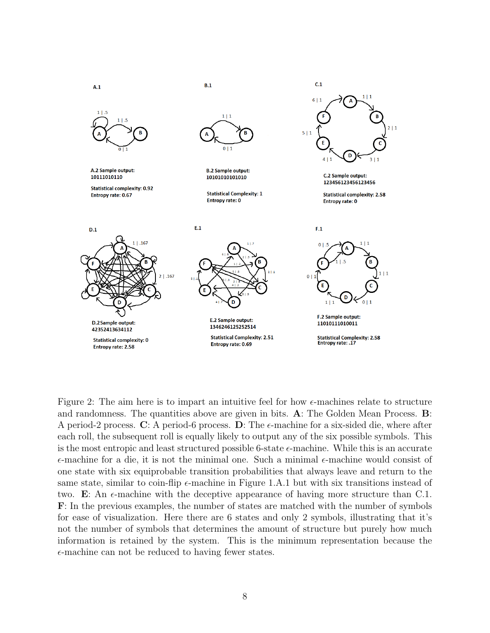

Figure 2: The aim here is to impart an intuitive feel for how  $\epsilon$ -machines relate to structure and randomness. The quantities above are given in bits. A: The Golden Mean Process. B: A period-2 process. C: A period-6 process. D: The  $\epsilon$ -machine for a six-sided die, where after each roll, the subsequent roll is equally likely to output any of the six possible symbols. This is the most entropic and least structured possible 6-state  $\epsilon$ -machine. While this is an accurate  $\epsilon$ -machine for a die, it is not the minimal one. Such a minimal  $\epsilon$ -machine would consist of one state with six equiprobable transition probabilities that always leave and return to the same state, similar to coin-flip  $\epsilon$ -machine in Figure 1.A.1 but with six transitions instead of two. E: An  $\epsilon$ -machine with the deceptive appearance of having more structure than C.1. F: In the previous examples, the number of states are matched with the number of symbols for ease of visualization. Here there are 6 states and only 2 symbols, illustrating that it's not the number of symbols that determines the amount of structure but purely how much information is retained by the system. This is the minimum representation because the  $\epsilon$ -machine can not be reduced to having fewer states.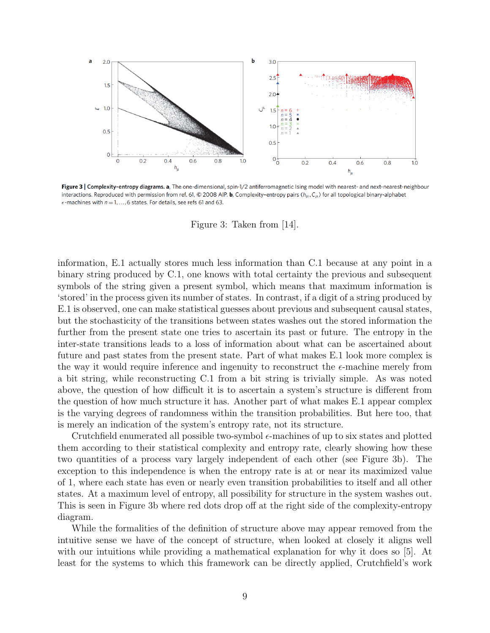

Figure 3 | Complexity-entropy diagrams. a, The one-dimensional, spin-1/2 antiferromagnetic Ising model with nearest- and next-nearest-neighbour interactions. Reproduced with permission from ref. 61, © 2008 AIP. b, Complexity-entropy pairs ( $h_\mu$ ,  $C_\mu$ ) for all topological binary-alphabet  $\epsilon$ -machines with  $n = 1, ..., 6$  states. For details, see refs 61 and 63.

Figure 3: Taken from [14].

information, E.1 actually stores much less information than C.1 because at any point in a binary string produced by C.1, one knows with total certainty the previous and subsequent symbols of the string given a present symbol, which means that maximum information is 'stored' in the process given its number of states. In contrast, if a digit of a string produced by E.1 is observed, one can make statistical guesses about previous and subsequent causal states, but the stochasticity of the transitions between states washes out the stored information the further from the present state one tries to ascertain its past or future. The entropy in the inter-state transitions leads to a loss of information about what can be ascertained about future and past states from the present state. Part of what makes E.1 look more complex is the way it would require inference and ingenuity to reconstruct the  $\epsilon$ -machine merely from a bit string, while reconstructing C.1 from a bit string is trivially simple. As was noted above, the question of how difficult it is to ascertain a system's structure is different from the question of how much structure it has. Another part of what makes E.1 appear complex is the varying degrees of randomness within the transition probabilities. But here too, that is merely an indication of the system's entropy rate, not its structure.

Crutchfield enumerated all possible two-symbol  $\epsilon$ -machines of up to six states and plotted them according to their statistical complexity and entropy rate, clearly showing how these two quantities of a process vary largely independent of each other (see Figure 3b). The exception to this independence is when the entropy rate is at or near its maximized value of 1, where each state has even or nearly even transition probabilities to itself and all other states. At a maximum level of entropy, all possibility for structure in the system washes out. This is seen in Figure 3b where red dots drop off at the right side of the complexity-entropy diagram.

While the formalities of the definition of structure above may appear removed from the intuitive sense we have of the concept of structure, when looked at closely it aligns well with our intuitions while providing a mathematical explanation for why it does so [5]. At least for the systems to which this framework can be directly applied, Crutchfield's work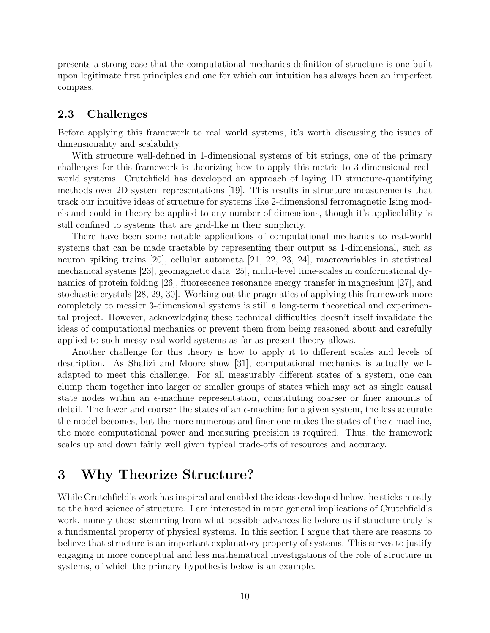presents a strong case that the computational mechanics definition of structure is one built upon legitimate first principles and one for which our intuition has always been an imperfect compass.

#### 2.3 Challenges

Before applying this framework to real world systems, it's worth discussing the issues of dimensionality and scalability.

With structure well-defined in 1-dimensional systems of bit strings, one of the primary challenges for this framework is theorizing how to apply this metric to 3-dimensional realworld systems. Crutchfield has developed an approach of laying 1D structure-quantifying methods over 2D system representations [19]. This results in structure measurements that track our intuitive ideas of structure for systems like 2-dimensional ferromagnetic Ising models and could in theory be applied to any number of dimensions, though it's applicability is still confined to systems that are grid-like in their simplicity.

There have been some notable applications of computational mechanics to real-world systems that can be made tractable by representing their output as 1-dimensional, such as neuron spiking trains [20], cellular automata [21, 22, 23, 24], macrovariables in statistical mechanical systems [23], geomagnetic data [25], multi-level time-scales in conformational dynamics of protein folding [26], fluorescence resonance energy transfer in magnesium [27], and stochastic crystals [28, 29, 30]. Working out the pragmatics of applying this framework more completely to messier 3-dimensional systems is still a long-term theoretical and experimental project. However, acknowledging these technical difficulties doesn't itself invalidate the ideas of computational mechanics or prevent them from being reasoned about and carefully applied to such messy real-world systems as far as present theory allows.

Another challenge for this theory is how to apply it to different scales and levels of description. As Shalizi and Moore show [31], computational mechanics is actually welladapted to meet this challenge. For all measurably different states of a system, one can clump them together into larger or smaller groups of states which may act as single causal state nodes within an  $\epsilon$ -machine representation, constituting coarser or finer amounts of detail. The fewer and coarser the states of an  $\epsilon$ -machine for a given system, the less accurate the model becomes, but the more numerous and finer one makes the states of the  $\epsilon$ -machine, the more computational power and measuring precision is required. Thus, the framework scales up and down fairly well given typical trade-offs of resources and accuracy.

## 3 Why Theorize Structure?

While Crutchfield's work has inspired and enabled the ideas developed below, he sticks mostly to the hard science of structure. I am interested in more general implications of Crutchfield's work, namely those stemming from what possible advances lie before us if structure truly is a fundamental property of physical systems. In this section I argue that there are reasons to believe that structure is an important explanatory property of systems. This serves to justify engaging in more conceptual and less mathematical investigations of the role of structure in systems, of which the primary hypothesis below is an example.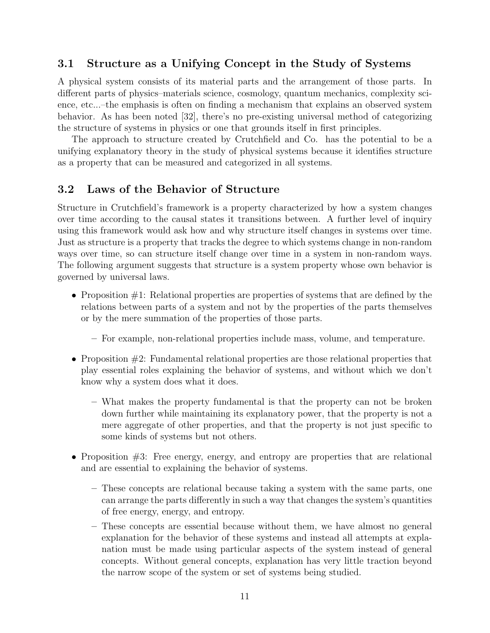## 3.1 Structure as a Unifying Concept in the Study of Systems

A physical system consists of its material parts and the arrangement of those parts. In different parts of physics–materials science, cosmology, quantum mechanics, complexity science, etc...–the emphasis is often on finding a mechanism that explains an observed system behavior. As has been noted [32], there's no pre-existing universal method of categorizing the structure of systems in physics or one that grounds itself in first principles.

The approach to structure created by Crutchfield and Co. has the potential to be a unifying explanatory theory in the study of physical systems because it identifies structure as a property that can be measured and categorized in all systems.

### 3.2 Laws of the Behavior of Structure

Structure in Crutchfield's framework is a property characterized by how a system changes over time according to the causal states it transitions between. A further level of inquiry using this framework would ask how and why structure itself changes in systems over time. Just as structure is a property that tracks the degree to which systems change in non-random ways over time, so can structure itself change over time in a system in non-random ways. The following argument suggests that structure is a system property whose own behavior is governed by universal laws.

- Proposition #1: Relational properties are properties of systems that are defined by the relations between parts of a system and not by the properties of the parts themselves or by the mere summation of the properties of those parts.
	- For example, non-relational properties include mass, volume, and temperature.
- Proposition #2: Fundamental relational properties are those relational properties that play essential roles explaining the behavior of systems, and without which we don't know why a system does what it does.
	- What makes the property fundamental is that the property can not be broken down further while maintaining its explanatory power, that the property is not a mere aggregate of other properties, and that the property is not just specific to some kinds of systems but not others.
- Proposition #3: Free energy, energy, and entropy are properties that are relational and are essential to explaining the behavior of systems.
	- These concepts are relational because taking a system with the same parts, one can arrange the parts differently in such a way that changes the system's quantities of free energy, energy, and entropy.
	- These concepts are essential because without them, we have almost no general explanation for the behavior of these systems and instead all attempts at explanation must be made using particular aspects of the system instead of general concepts. Without general concepts, explanation has very little traction beyond the narrow scope of the system or set of systems being studied.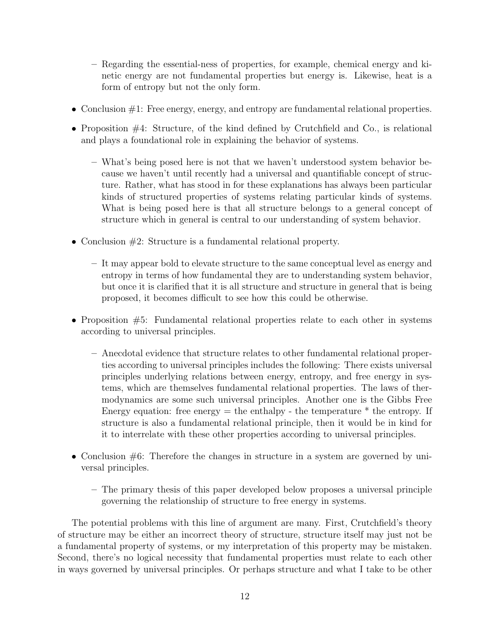- Regarding the essential-ness of properties, for example, chemical energy and kinetic energy are not fundamental properties but energy is. Likewise, heat is a form of entropy but not the only form.
- Conclusion #1: Free energy, energy, and entropy are fundamental relational properties.
- Proposition #4: Structure, of the kind defined by Crutchfield and Co., is relational and plays a foundational role in explaining the behavior of systems.
	- What's being posed here is not that we haven't understood system behavior because we haven't until recently had a universal and quantifiable concept of structure. Rather, what has stood in for these explanations has always been particular kinds of structured properties of systems relating particular kinds of systems. What is being posed here is that all structure belongs to a general concept of structure which in general is central to our understanding of system behavior.
- Conclusion  $#2$ : Structure is a fundamental relational property.
	- It may appear bold to elevate structure to the same conceptual level as energy and entropy in terms of how fundamental they are to understanding system behavior, but once it is clarified that it is all structure and structure in general that is being proposed, it becomes difficult to see how this could be otherwise.
- Proposition  $#5$ : Fundamental relational properties relate to each other in systems according to universal principles.
	- Anecdotal evidence that structure relates to other fundamental relational properties according to universal principles includes the following: There exists universal principles underlying relations between energy, entropy, and free energy in systems, which are themselves fundamental relational properties. The laws of thermodynamics are some such universal principles. Another one is the Gibbs Free Energy equation: free energy  $=$  the enthalpy - the temperature  $*$  the entropy. If structure is also a fundamental relational principle, then it would be in kind for it to interrelate with these other properties according to universal principles.
- Conclusion  $#6$ : Therefore the changes in structure in a system are governed by universal principles.
	- The primary thesis of this paper developed below proposes a universal principle governing the relationship of structure to free energy in systems.

The potential problems with this line of argument are many. First, Crutchfield's theory of structure may be either an incorrect theory of structure, structure itself may just not be a fundamental property of systems, or my interpretation of this property may be mistaken. Second, there's no logical necessity that fundamental properties must relate to each other in ways governed by universal principles. Or perhaps structure and what I take to be other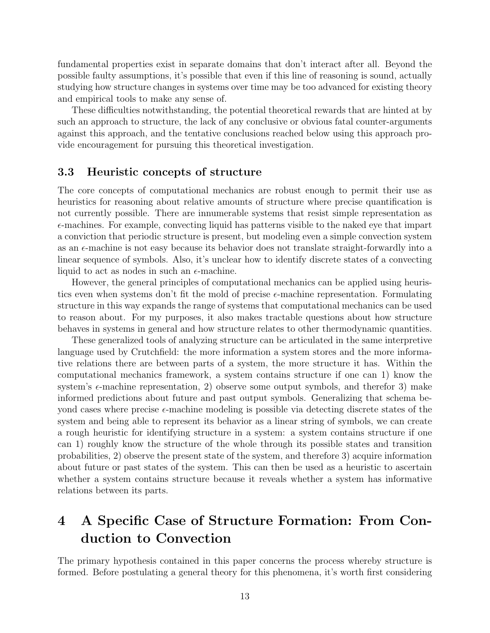fundamental properties exist in separate domains that don't interact after all. Beyond the possible faulty assumptions, it's possible that even if this line of reasoning is sound, actually studying how structure changes in systems over time may be too advanced for existing theory and empirical tools to make any sense of.

These difficulties notwithstanding, the potential theoretical rewards that are hinted at by such an approach to structure, the lack of any conclusive or obvious fatal counter-arguments against this approach, and the tentative conclusions reached below using this approach provide encouragement for pursuing this theoretical investigation.

#### 3.3 Heuristic concepts of structure

The core concepts of computational mechanics are robust enough to permit their use as heuristics for reasoning about relative amounts of structure where precise quantification is not currently possible. There are innumerable systems that resist simple representation as  $\epsilon$ -machines. For example, convecting liquid has patterns visible to the naked eye that impart a conviction that periodic structure is present, but modeling even a simple convection system as an  $\epsilon$ -machine is not easy because its behavior does not translate straight-forwardly into a linear sequence of symbols. Also, it's unclear how to identify discrete states of a convecting liquid to act as nodes in such an  $\epsilon$ -machine.

However, the general principles of computational mechanics can be applied using heuristics even when systems don't fit the mold of precise  $\epsilon$ -machine representation. Formulating structure in this way expands the range of systems that computational mechanics can be used to reason about. For my purposes, it also makes tractable questions about how structure behaves in systems in general and how structure relates to other thermodynamic quantities.

These generalized tools of analyzing structure can be articulated in the same interpretive language used by Crutchfield: the more information a system stores and the more informative relations there are between parts of a system, the more structure it has. Within the computational mechanics framework, a system contains structure if one can 1) know the system's  $\epsilon$ -machine representation, 2) observe some output symbols, and therefor 3) make informed predictions about future and past output symbols. Generalizing that schema beyond cases where precise  $\epsilon$ -machine modeling is possible via detecting discrete states of the system and being able to represent its behavior as a linear string of symbols, we can create a rough heuristic for identifying structure in a system: a system contains structure if one can 1) roughly know the structure of the whole through its possible states and transition probabilities, 2) observe the present state of the system, and therefore 3) acquire information about future or past states of the system. This can then be used as a heuristic to ascertain whether a system contains structure because it reveals whether a system has informative relations between its parts.

# 4 A Specific Case of Structure Formation: From Conduction to Convection

The primary hypothesis contained in this paper concerns the process whereby structure is formed. Before postulating a general theory for this phenomena, it's worth first considering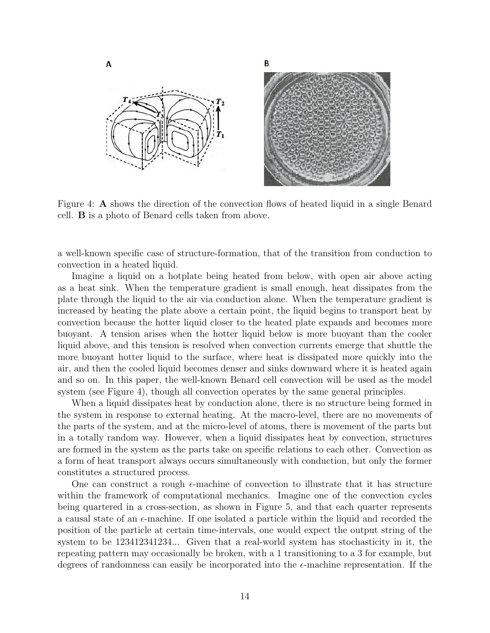

Figure 4: A shows the direction of the convection flows of heated liquid in a single Benard cell. B is a photo of Benard cells taken from above.

a well-known specific case of structure-formation, that of the transition from conduction to convection in a heated liquid.

Imagine a liquid on a hotplate being heated from below, with open air above acting as a heat sink. When the temperature gradient is small enough, heat dissipates from the plate through the liquid to the air via conduction alone. When the temperature gradient is increased by heating the plate above a certain point, the liquid begins to transport heat by convection because the hotter liquid closer to the heated plate expands and becomes more buoyant. A tension arises when the hotter liquid below is more buoyant than the cooler liquid above, and this tension is resolved when convection currents emerge that shuttle the more buoyant hotter liquid to the surface, where heat is dissipated more quickly into the air, and then the cooled liquid becomes denser and sinks downward where it is heated again and so on. In this paper, the well-known Benard cell convection will be used as the model system (see Figure 4), though all convection operates by the same general principles.

When a liquid dissipates heat by conduction alone, there is no structure being formed in the system in response to external heating. At the macro-level, there are no movements of the parts of the system, and at the micro-level of atoms, there is movement of the parts but in a totally random way. However, when a liquid dissipates heat by convection, structures are formed in the system as the parts take on specific relations to each other. Convection as a form of heat transport always occurs simultaneously with conduction, but only the former constitutes a structured process.

One can construct a rough  $\epsilon$ -machine of convection to illustrate that it has structure within the framework of computational mechanics. Imagine one of the convection cycles being quartered in a cross-section, as shown in Figure 5, and that each quarter represents a causal state of an  $\epsilon$ -machine. If one isolated a particle within the liquid and recorded the position of the particle at certain time-intervals, one would expect the output string of the system to be 123412341234... Given that a real-world system has stochasticity in it, the repeating pattern may occasionally be broken, with a 1 transitioning to a 3 for example, but degrees of randomness can easily be incorporated into the  $\epsilon$ -machine representation. If the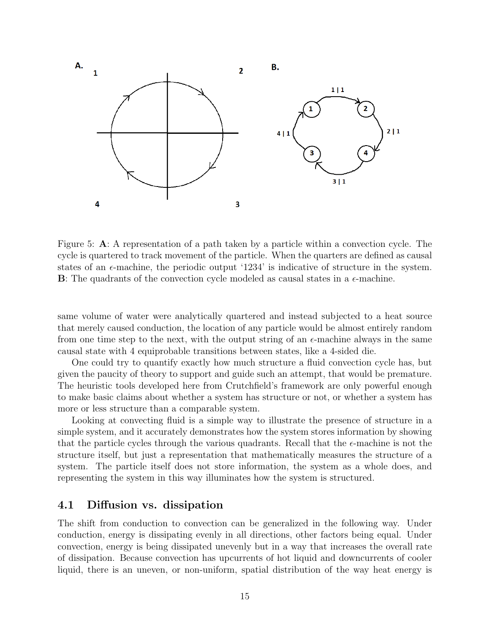

Figure 5: A: A representation of a path taken by a particle within a convection cycle. The cycle is quartered to track movement of the particle. When the quarters are defined as causal states of an  $\epsilon$ -machine, the periodic output '1234' is indicative of structure in the system.  $\bf{B}$ : The quadrants of the convection cycle modeled as causal states in a  $\epsilon$ -machine.

same volume of water were analytically quartered and instead subjected to a heat source that merely caused conduction, the location of any particle would be almost entirely random from one time step to the next, with the output string of an  $\epsilon$ -machine always in the same causal state with 4 equiprobable transitions between states, like a 4-sided die.

One could try to quantify exactly how much structure a fluid convection cycle has, but given the paucity of theory to support and guide such an attempt, that would be premature. The heuristic tools developed here from Crutchfield's framework are only powerful enough to make basic claims about whether a system has structure or not, or whether a system has more or less structure than a comparable system.

Looking at convecting fluid is a simple way to illustrate the presence of structure in a simple system, and it accurately demonstrates how the system stores information by showing that the particle cycles through the various quadrants. Recall that the  $\epsilon$ -machine is not the structure itself, but just a representation that mathematically measures the structure of a system. The particle itself does not store information, the system as a whole does, and representing the system in this way illuminates how the system is structured.

### 4.1 Diffusion vs. dissipation

The shift from conduction to convection can be generalized in the following way. Under conduction, energy is dissipating evenly in all directions, other factors being equal. Under convection, energy is being dissipated unevenly but in a way that increases the overall rate of dissipation. Because convection has upcurrents of hot liquid and downcurrents of cooler liquid, there is an uneven, or non-uniform, spatial distribution of the way heat energy is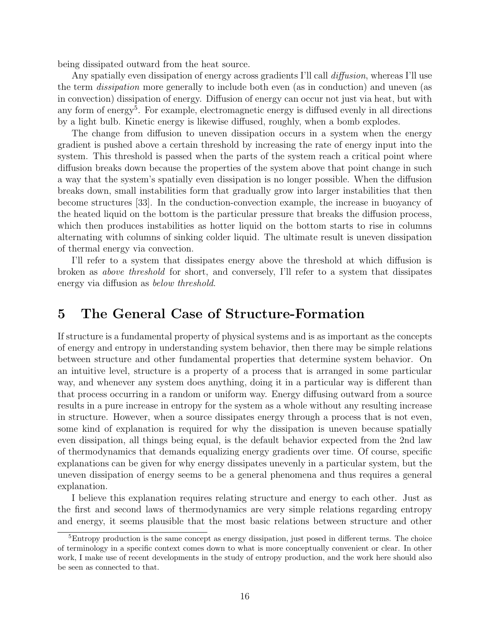being dissipated outward from the heat source.

Any spatially even dissipation of energy across gradients I'll call *diffusion*, whereas I'll use the term dissipation more generally to include both even (as in conduction) and uneven (as in convection) dissipation of energy. Diffusion of energy can occur not just via heat, but with any form of energy<sup>5</sup>. For example, electromagnetic energy is diffused evenly in all directions by a light bulb. Kinetic energy is likewise diffused, roughly, when a bomb explodes.

The change from diffusion to uneven dissipation occurs in a system when the energy gradient is pushed above a certain threshold by increasing the rate of energy input into the system. This threshold is passed when the parts of the system reach a critical point where diffusion breaks down because the properties of the system above that point change in such a way that the system's spatially even dissipation is no longer possible. When the diffusion breaks down, small instabilities form that gradually grow into larger instabilities that then become structures [33]. In the conduction-convection example, the increase in buoyancy of the heated liquid on the bottom is the particular pressure that breaks the diffusion process, which then produces instabilities as hotter liquid on the bottom starts to rise in columns alternating with columns of sinking colder liquid. The ultimate result is uneven dissipation of thermal energy via convection.

I'll refer to a system that dissipates energy above the threshold at which diffusion is broken as above threshold for short, and conversely, I'll refer to a system that dissipates energy via diffusion as below threshold.

# 5 The General Case of Structure-Formation

If structure is a fundamental property of physical systems and is as important as the concepts of energy and entropy in understanding system behavior, then there may be simple relations between structure and other fundamental properties that determine system behavior. On an intuitive level, structure is a property of a process that is arranged in some particular way, and whenever any system does anything, doing it in a particular way is different than that process occurring in a random or uniform way. Energy diffusing outward from a source results in a pure increase in entropy for the system as a whole without any resulting increase in structure. However, when a source dissipates energy through a process that is not even, some kind of explanation is required for why the dissipation is uneven because spatially even dissipation, all things being equal, is the default behavior expected from the 2nd law of thermodynamics that demands equalizing energy gradients over time. Of course, specific explanations can be given for why energy dissipates unevenly in a particular system, but the uneven dissipation of energy seems to be a general phenomena and thus requires a general explanation.

I believe this explanation requires relating structure and energy to each other. Just as the first and second laws of thermodynamics are very simple relations regarding entropy and energy, it seems plausible that the most basic relations between structure and other

<sup>&</sup>lt;sup>5</sup>Entropy production is the same concept as energy dissipation, just posed in different terms. The choice of terminology in a specific context comes down to what is more conceptually convenient or clear. In other work, I make use of recent developments in the study of entropy production, and the work here should also be seen as connected to that.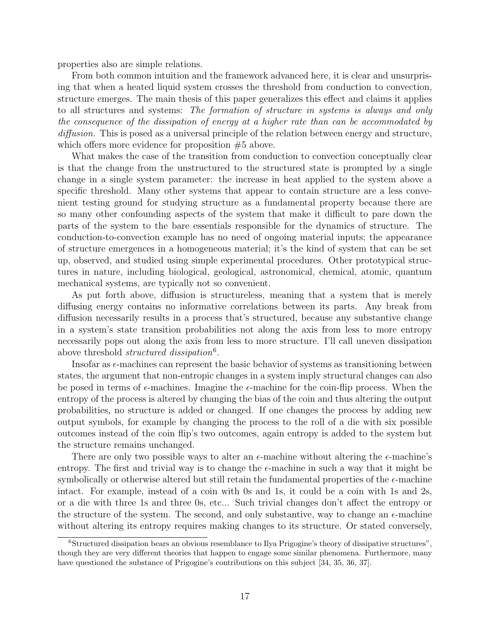properties also are simple relations.

From both common intuition and the framework advanced here, it is clear and unsurprising that when a heated liquid system crosses the threshold from conduction to convection, structure emerges. The main thesis of this paper generalizes this effect and claims it applies to all structures and systems: The formation of structure in systems is always and only the consequence of the dissipation of energy at a higher rate than can be accommodated by diffusion. This is posed as a universal principle of the relation between energy and structure, which offers more evidence for proposition  $#5$  above.

What makes the case of the transition from conduction to convection conceptually clear is that the change from the unstructured to the structured state is prompted by a single change in a single system parameter: the increase in heat applied to the system above a specific threshold. Many other systems that appear to contain structure are a less convenient testing ground for studying structure as a fundamental property because there are so many other confounding aspects of the system that make it difficult to pare down the parts of the system to the bare essentials responsible for the dynamics of structure. The conduction-to-convection example has no need of ongoing material inputs; the appearance of structure emergences in a homogeneous material; it's the kind of system that can be set up, observed, and studied using simple experimental procedures. Other prototypical structures in nature, including biological, geological, astronomical, chemical, atomic, quantum mechanical systems, are typically not so convenient.

As put forth above, diffusion is structureless, meaning that a system that is merely diffusing energy contains no informative correlations between its parts. Any break from diffusion necessarily results in a process that's structured, because any substantive change in a system's state transition probabilities not along the axis from less to more entropy necessarily pops out along the axis from less to more structure. I'll call uneven dissipation above threshold *structured dissipation*<sup>6</sup>.

Insofar as  $\epsilon$ -machines can represent the basic behavior of systems as transitioning between states, the argument that non-entropic changes in a system imply structural changes can also be posed in terms of  $\epsilon$ -machines. Imagine the  $\epsilon$ -machine for the coin-flip process. When the entropy of the process is altered by changing the bias of the coin and thus altering the output probabilities, no structure is added or changed. If one changes the process by adding new output symbols, for example by changing the process to the roll of a die with six possible outcomes instead of the coin flip's two outcomes, again entropy is added to the system but the structure remains unchanged.

There are only two possible ways to alter an  $\epsilon$ -machine without altering the  $\epsilon$ -machine's entropy. The first and trivial way is to change the  $\epsilon$ -machine in such a way that it might be symbolically or otherwise altered but still retain the fundamental properties of the  $\epsilon$ -machine intact. For example, instead of a coin with 0s and 1s, it could be a coin with 1s and 2s, or a die with three 1s and three 0s, etc... Such trivial changes don't affect the entropy or the structure of the system. The second, and only substantive, way to change an  $\epsilon$ -machine without altering its entropy requires making changes to its structure. Or stated conversely,

<sup>&</sup>lt;sup>6</sup>Structured dissipation bears an obvious resemblance to Ilya Prigogine's theory of dissipative structures", though they are very different theories that happen to engage some similar phenomena. Furthermore, many have questioned the substance of Prigogine's contributions on this subject [34, 35, 36, 37].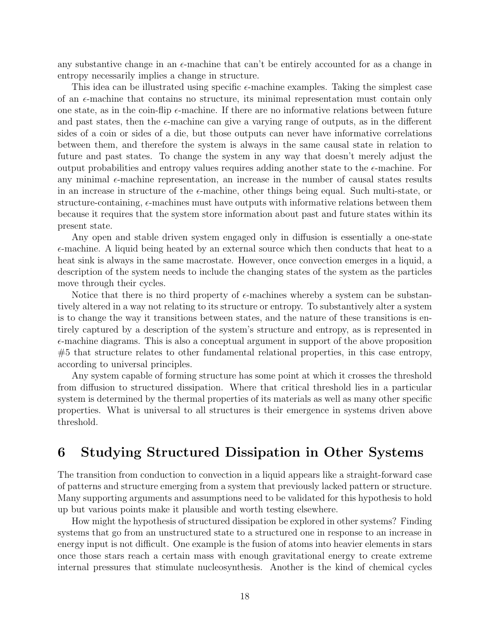any substantive change in an  $\epsilon$ -machine that can't be entirely accounted for as a change in entropy necessarily implies a change in structure.

This idea can be illustrated using specific  $\epsilon$ -machine examples. Taking the simplest case of an  $\epsilon$ -machine that contains no structure, its minimal representation must contain only one state, as in the coin-flip  $\epsilon$ -machine. If there are no informative relations between future and past states, then the  $\epsilon$ -machine can give a varying range of outputs, as in the different sides of a coin or sides of a die, but those outputs can never have informative correlations between them, and therefore the system is always in the same causal state in relation to future and past states. To change the system in any way that doesn't merely adjust the output probabilities and entropy values requires adding another state to the  $\epsilon$ -machine. For any minimal  $\epsilon$ -machine representation, an increase in the number of causal states results in an increase in structure of the  $\epsilon$ -machine, other things being equal. Such multi-state, or structure-containing,  $\epsilon$ -machines must have outputs with informative relations between them because it requires that the system store information about past and future states within its present state.

Any open and stable driven system engaged only in diffusion is essentially a one-state  $\epsilon$ -machine. A liquid being heated by an external source which then conducts that heat to a heat sink is always in the same macrostate. However, once convection emerges in a liquid, a description of the system needs to include the changing states of the system as the particles move through their cycles.

Notice that there is no third property of  $\epsilon$ -machines whereby a system can be substantively altered in a way not relating to its structure or entropy. To substantively alter a system is to change the way it transitions between states, and the nature of these transitions is entirely captured by a description of the system's structure and entropy, as is represented in  $\epsilon$ -machine diagrams. This is also a conceptual argument in support of the above proposition  $#5$  that structure relates to other fundamental relational properties, in this case entropy, according to universal principles.

Any system capable of forming structure has some point at which it crosses the threshold from diffusion to structured dissipation. Where that critical threshold lies in a particular system is determined by the thermal properties of its materials as well as many other specific properties. What is universal to all structures is their emergence in systems driven above threshold.

# 6 Studying Structured Dissipation in Other Systems

The transition from conduction to convection in a liquid appears like a straight-forward case of patterns and structure emerging from a system that previously lacked pattern or structure. Many supporting arguments and assumptions need to be validated for this hypothesis to hold up but various points make it plausible and worth testing elsewhere.

How might the hypothesis of structured dissipation be explored in other systems? Finding systems that go from an unstructured state to a structured one in response to an increase in energy input is not difficult. One example is the fusion of atoms into heavier elements in stars once those stars reach a certain mass with enough gravitational energy to create extreme internal pressures that stimulate nucleosynthesis. Another is the kind of chemical cycles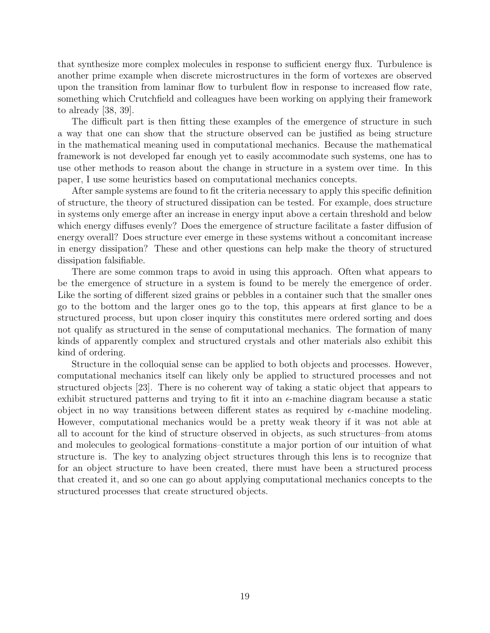that synthesize more complex molecules in response to sufficient energy flux. Turbulence is another prime example when discrete microstructures in the form of vortexes are observed upon the transition from laminar flow to turbulent flow in response to increased flow rate, something which Crutchfield and colleagues have been working on applying their framework to already [38, 39].

The difficult part is then fitting these examples of the emergence of structure in such a way that one can show that the structure observed can be justified as being structure in the mathematical meaning used in computational mechanics. Because the mathematical framework is not developed far enough yet to easily accommodate such systems, one has to use other methods to reason about the change in structure in a system over time. In this paper, I use some heuristics based on computational mechanics concepts.

After sample systems are found to fit the criteria necessary to apply this specific definition of structure, the theory of structured dissipation can be tested. For example, does structure in systems only emerge after an increase in energy input above a certain threshold and below which energy diffuses evenly? Does the emergence of structure facilitate a faster diffusion of energy overall? Does structure ever emerge in these systems without a concomitant increase in energy dissipation? These and other questions can help make the theory of structured dissipation falsifiable.

There are some common traps to avoid in using this approach. Often what appears to be the emergence of structure in a system is found to be merely the emergence of order. Like the sorting of different sized grains or pebbles in a container such that the smaller ones go to the bottom and the larger ones go to the top, this appears at first glance to be a structured process, but upon closer inquiry this constitutes mere ordered sorting and does not qualify as structured in the sense of computational mechanics. The formation of many kinds of apparently complex and structured crystals and other materials also exhibit this kind of ordering.

Structure in the colloquial sense can be applied to both objects and processes. However, computational mechanics itself can likely only be applied to structured processes and not structured objects [23]. There is no coherent way of taking a static object that appears to exhibit structured patterns and trying to fit it into an  $\epsilon$ -machine diagram because a static object in no way transitions between different states as required by  $\epsilon$ -machine modeling. However, computational mechanics would be a pretty weak theory if it was not able at all to account for the kind of structure observed in objects, as such structures–from atoms and molecules to geological formations–constitute a major portion of our intuition of what structure is. The key to analyzing object structures through this lens is to recognize that for an object structure to have been created, there must have been a structured process that created it, and so one can go about applying computational mechanics concepts to the structured processes that create structured objects.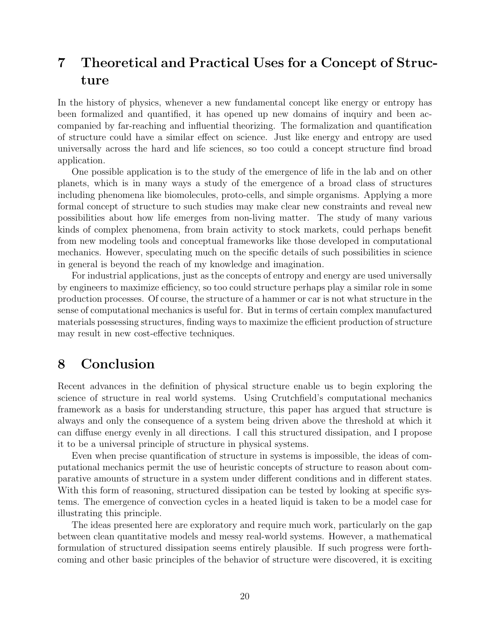# 7 Theoretical and Practical Uses for a Concept of Structure

In the history of physics, whenever a new fundamental concept like energy or entropy has been formalized and quantified, it has opened up new domains of inquiry and been accompanied by far-reaching and influential theorizing. The formalization and quantification of structure could have a similar effect on science. Just like energy and entropy are used universally across the hard and life sciences, so too could a concept structure find broad application.

One possible application is to the study of the emergence of life in the lab and on other planets, which is in many ways a study of the emergence of a broad class of structures including phenomena like biomolecules, proto-cells, and simple organisms. Applying a more formal concept of structure to such studies may make clear new constraints and reveal new possibilities about how life emerges from non-living matter. The study of many various kinds of complex phenomena, from brain activity to stock markets, could perhaps benefit from new modeling tools and conceptual frameworks like those developed in computational mechanics. However, speculating much on the specific details of such possibilities in science in general is beyond the reach of my knowledge and imagination.

For industrial applications, just as the concepts of entropy and energy are used universally by engineers to maximize efficiency, so too could structure perhaps play a similar role in some production processes. Of course, the structure of a hammer or car is not what structure in the sense of computational mechanics is useful for. But in terms of certain complex manufactured materials possessing structures, finding ways to maximize the efficient production of structure may result in new cost-effective techniques.

# 8 Conclusion

Recent advances in the definition of physical structure enable us to begin exploring the science of structure in real world systems. Using Crutchfield's computational mechanics framework as a basis for understanding structure, this paper has argued that structure is always and only the consequence of a system being driven above the threshold at which it can diffuse energy evenly in all directions. I call this structured dissipation, and I propose it to be a universal principle of structure in physical systems.

Even when precise quantification of structure in systems is impossible, the ideas of computational mechanics permit the use of heuristic concepts of structure to reason about comparative amounts of structure in a system under different conditions and in different states. With this form of reasoning, structured dissipation can be tested by looking at specific systems. The emergence of convection cycles in a heated liquid is taken to be a model case for illustrating this principle.

The ideas presented here are exploratory and require much work, particularly on the gap between clean quantitative models and messy real-world systems. However, a mathematical formulation of structured dissipation seems entirely plausible. If such progress were forthcoming and other basic principles of the behavior of structure were discovered, it is exciting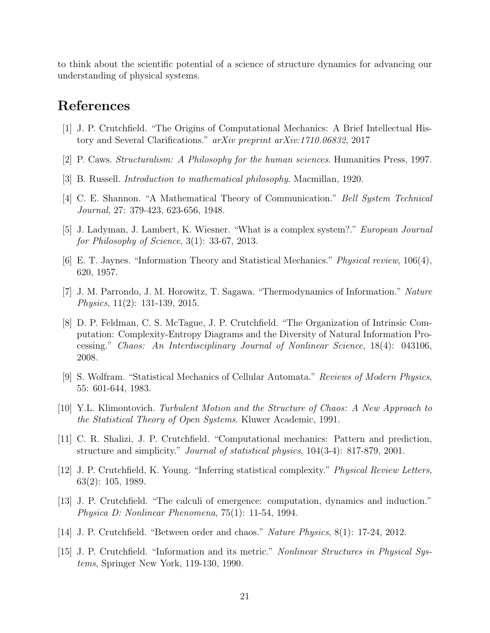to think about the scientific potential of a science of structure dynamics for advancing our understanding of physical systems.

## References

- [1] J. P. Crutchfield. "The Origins of Computational Mechanics: A Brief Intellectual History and Several Clarifications." arXiv preprint arXiv:1710.06832, 2017
- [2] P. Caws. Structuralism: A Philosophy for the human sciences. Humanities Press, 1997.
- [3] B. Russell. Introduction to mathematical philosophy. Macmillan, 1920.
- [4] C. E. Shannon. "A Mathematical Theory of Communication." Bell System Technical Journal, 27: 379-423, 623-656, 1948.
- [5] J. Ladyman, J. Lambert, K. Wiesner. "What is a complex system?." European Journal for Philosophy of Science, 3(1): 33-67, 2013.
- [6] E. T. Jaynes. "Information Theory and Statistical Mechanics." Physical review, 106(4), 620, 1957.
- [7] J. M. Parrondo, J. M. Horowitz, T. Sagawa. "Thermodynamics of Information." Nature Physics, 11(2): 131-139, 2015.
- [8] D. P. Feldman, C. S. McTague, J. P. Crutchfield. "The Organization of Intrinsic Computation: Complexity-Entropy Diagrams and the Diversity of Natural Information Processing." Chaos: An Interdisciplinary Journal of Nonlinear Science, 18(4): 043106, 2008.
- [9] S. Wolfram. "Statistical Mechanics of Cellular Automata." Reviews of Modern Physics, 55: 601-644, 1983.
- [10] Y.L. Klimontovich. Turbulent Motion and the Structure of Chaos: A New Approach to the Statistical Theory of Open Systems. Kluwer Academic, 1991.
- [11] C. R. Shalizi, J. P. Crutchfield. "Computational mechanics: Pattern and prediction, structure and simplicity." *Journal of statistical physics*,  $104(3-4)$ : 817-879, 2001.
- [12] J. P. Crutchfield, K. Young. "Inferring statistical complexity." Physical Review Letters, 63(2): 105, 1989.
- [13] J. P. Crutchfield. "The calculi of emergence: computation, dynamics and induction." Physica D: Nonlinear Phenomena, 75(1): 11-54, 1994.
- [14] J. P. Crutchfield. "Between order and chaos." Nature Physics, 8(1): 17-24, 2012.
- [15] J. P. Crutchfield. "Information and its metric." Nonlinear Structures in Physical Systems, Springer New York, 119-130, 1990.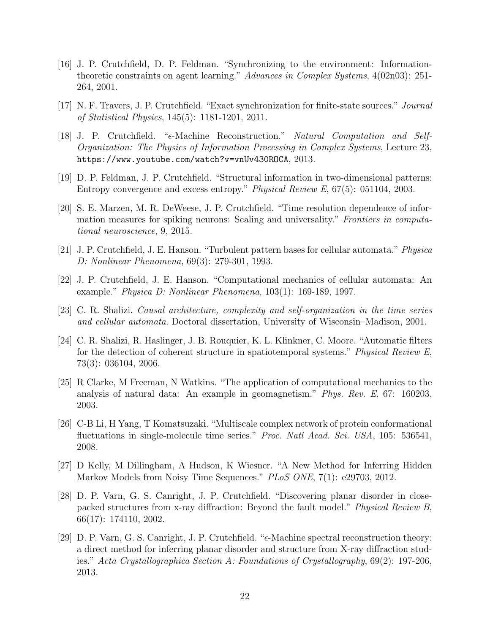- [16] J. P. Crutchfield, D. P. Feldman. "Synchronizing to the environment: Informationtheoretic constraints on agent learning." Advances in Complex Systems, 4(02n03): 251- 264, 2001.
- [17] N. F. Travers, J. P. Crutchfield. "Exact synchronization for finite-state sources." Journal of Statistical Physics, 145(5): 1181-1201, 2011.
- [18] J. P. Crutchfield. "e-Machine Reconstruction." Natural Computation and Self-Organization: The Physics of Information Processing in Complex Systems, Lecture 23, https://www.youtube.com/watch?v=vnUv430ROCA, 2013.
- [19] D. P. Feldman, J. P. Crutchfield. "Structural information in two-dimensional patterns: Entropy convergence and excess entropy." Physical Review E, 67(5): 051104, 2003.
- [20] S. E. Marzen, M. R. DeWeese, J. P. Crutchfield. "Time resolution dependence of information measures for spiking neurons: Scaling and universality." Frontiers in computational neuroscience, 9, 2015.
- [21] J. P. Crutchfield, J. E. Hanson. "Turbulent pattern bases for cellular automata." Physica D: Nonlinear Phenomena, 69(3): 279-301, 1993.
- [22] J. P. Crutchfield, J. E. Hanson. "Computational mechanics of cellular automata: An example." Physica D: Nonlinear Phenomena, 103(1): 169-189, 1997.
- [23] C. R. Shalizi. Causal architecture, complexity and self-organization in the time series and cellular automata. Doctoral dissertation, University of Wisconsin–Madison, 2001.
- [24] C. R. Shalizi, R. Haslinger, J. B. Rouquier, K. L. Klinkner, C. Moore. "Automatic filters for the detection of coherent structure in spatiotemporal systems." Physical Review E, 73(3): 036104, 2006.
- [25] R Clarke, M Freeman, N Watkins. "The application of computational mechanics to the analysis of natural data: An example in geomagnetism." Phys. Rev. E, 67: 160203, 2003.
- [26] C-B Li, H Yang, T Komatsuzaki. "Multiscale complex network of protein conformational fluctuations in single-molecule time series." *Proc. Natl Acad. Sci. USA*, 105: 536541, 2008.
- [27] D Kelly, M Dillingham, A Hudson, K Wiesner. "A New Method for Inferring Hidden Markov Models from Noisy Time Sequences." PLoS ONE, 7(1): e29703, 2012.
- [28] D. P. Varn, G. S. Canright, J. P. Crutchfield. "Discovering planar disorder in closepacked structures from x-ray diffraction: Beyond the fault model." Physical Review B, 66(17): 174110, 2002.
- [29] D. P. Varn, G. S. Canright, J. P. Crutchfield. " $\epsilon$ -Machine spectral reconstruction theory: a direct method for inferring planar disorder and structure from X-ray diffraction studies." Acta Crystallographica Section A: Foundations of Crystallography, 69(2): 197-206, 2013.